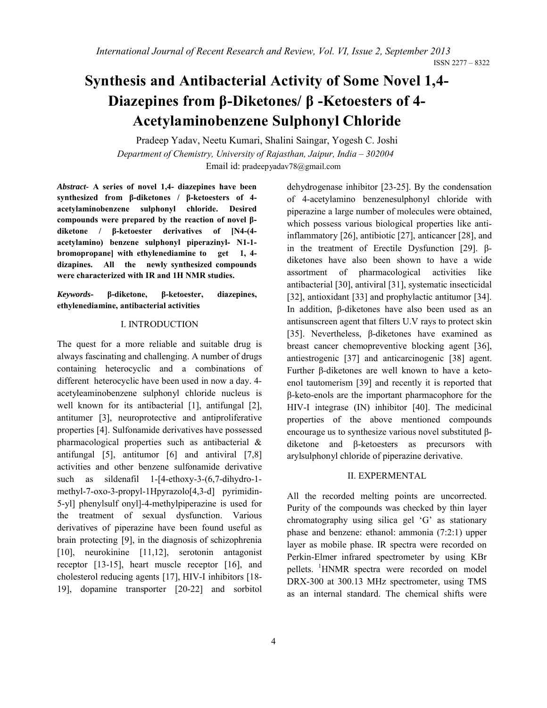# **Synthesis and Antibacterial Activity of Some Novel 1,4- Diazepines from β-Diketones/ β -Ketoesters of 4- Acetylaminobenzene Sulphonyl Chloride**

Pradeep Yadav, Neetu Kumari, Shalini Saingar, Yogesh C. Joshi *Department of Chemistry, University of Rajasthan, Jaipur, India – 302004* Email id: pradeepyadav78@gmail.com

*Abstract-* **A series of novel 1,4- diazepines have been synthesized from β-diketones / β-ketoesters of 4 acetylaminobenzene sulphonyl chloride. Desired compounds were prepared by the reaction of novel βdiketone / β-ketoester derivatives of [N4-(4 acetylamino) benzene sulphonyl piperazinyl- N1-1 bromopropane] with ethylenediamine to get 1, 4 dizapines. All the newly synthesized compounds were characterized with IR and 1H NMR studies.** 

*Keywords***- β-diketone, β-ketoester, diazepines, ethylenediamine, antibacterial activities** 

## I. INTRODUCTION

The quest for a more reliable and suitable drug is always fascinating and challenging. A number of drugs containing heterocyclic and a combinations of different heterocyclic have been used in now a day. 4 acetyleaminobenzene sulphonyl chloride nucleus is well known for its antibacterial [1], antifungal [2], antitumer [3], neuroprotective and antiproliferative properties [4]. Sulfonamide derivatives have possessed pharmacological properties such as antibacterial & antifungal [5], antitumor [6] and antiviral [7,8] activities and other benzene sulfonamide derivative such as sildenafil 1-[4-ethoxy-3-(6,7-dihydro-1 methyl-7-oxo-3-propyl-1Hpyrazolo[4,3-d] pyrimidin-5-yl] phenylsulf onyl]-4-methylpiperazine is used for the treatment of sexual dysfunction. Various derivatives of piperazine have been found useful as brain protecting [9], in the diagnosis of schizophrenia [10], neurokinine [11,12], serotonin antagonist receptor [13-15], heart muscle receptor [16], and cholesterol reducing agents [17], HIV-I inhibitors [18- 19], dopamine transporter [20-22] and sorbitol

dehydrogenase inhibitor [23-25]. By the condensation of 4-acetylamino benzenesulphonyl chloride with piperazine a large number of molecules were obtained, which possess various biological properties like antiinflammatory [26], antibiotic [27], anticancer [28], and in the treatment of Erectile Dysfunction [29]. βdiketones have also been shown to have a wide assortment of pharmacological activities like antibacterial [30], antiviral [31], systematic insecticidal [32], antioxidant [33] and prophylactic antitumor [34]. In addition, β-diketones have also been used as an antisunscreen agent that filters U.V rays to protect skin [35]. Nevertheless, β-diketones have examined as breast cancer chemopreventive blocking agent [36], antiestrogenic [37] and anticarcinogenic [38] agent. Further β-diketones are well known to have a ketoenol tautomerism [39] and recently it is reported that β-keto-enols are the important pharmacophore for the HIV-I integrase (IN) inhibitor [40]. The medicinal properties of the above mentioned compounds encourage us to synthesize various novel substituted βdiketone and β-ketoesters as precursors with arylsulphonyl chloride of piperazine derivative.

#### II. EXPERMENTAL

All the recorded melting points are uncorrected. Purity of the compounds was checked by thin layer chromatography using silica gel 'G' as stationary phase and benzene: ethanol: ammonia (7:2:1) upper layer as mobile phase. IR spectra were recorded on Perkin-Elmer infrared spectrometer by using KBr pellets. <sup>1</sup>HNMR spectra were recorded on model DRX-300 at 300.13 MHz spectrometer, using TMS as an internal standard. The chemical shifts were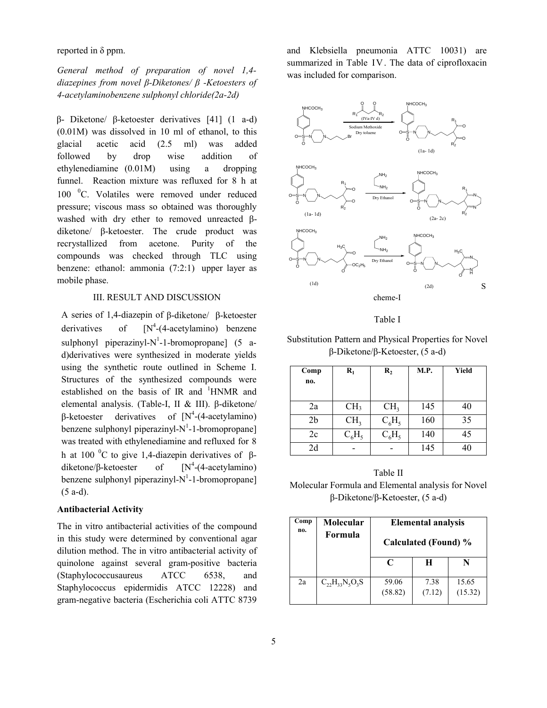reported in δ ppm.

*General method of preparation of novel 1,4 diazepines from novel β-Diketones/ β -Ketoesters of 4-acetylaminobenzene sulphonyl chloride(2a-2d)*

β- Diketone/ β-ketoester derivatives [41] (1 a-d) (0.01M) was dissolved in 10 ml of ethanol, to this glacial acetic acid (2.5 ml) was added followed by drop wise addition of ethylenediamine (0.01M) using a dropping funnel. Reaction mixture was refluxed for 8 h at 100 °C. Volatiles were removed under reduced pressure; viscous mass so obtained was thoroughly washed with dry ether to removed unreacted βdiketone/ β-ketoester. The crude product was recrystallized from acetone. Purity of the compounds was checked through TLC using benzene: ethanol: ammonia (7:2:1) upper layer as mobile phase.

### III. RESULT AND DISCUSSION

A series of 1,4-diazepin of β-diketone/ β-ketoester derivatives of  $[N^4-(4\text{-acetylamin})$  benzene sulphonyl piperazinyl-N<sup>1</sup>-1-bromopropane] (5 ad)derivatives were synthesized in moderate yields using the synthetic route outlined in Scheme I. Structures of the synthesized compounds were established on the basis of IR and <sup>1</sup>HNMR and elemental analysis. (Table-I, II & III). β-diketone/ β-ketoester derivatives of  $[N^4-(4\text{-acetylamin})]$ benzene sulphonyl piperazinyl- $N^1$ -1-bromopropane] was treated with ethylenediamine and refluxed for 8 h at 100 <sup>o</sup>C to give 1,4-diazepin derivatives of βdiketone/β-ketoester of  $[N^4-(4\text{-acetylamin})]$ benzene sulphonyl piperazinyl- $N^1$ -1-bromopropane] (5 a-d).

#### **Antibacterial Activity**

The in vitro antibacterial activities of the compound in this study were determined by conventional agar dilution method. The in vitro antibacterial activity of quinolone against several gram-positive bacteria (Staphylococcusaureus ATCC 6538, and Staphylococcus epidermidis ATCC 12228) and gram-negative bacteria (Escherichia coli ATTC 8739 and Klebsiella pneumonia ATTC 10031) are summarized in Table IV. The data of ciprofloxacin was included for comparison.



Table I

Substitution Pattern and Physical Properties for Novel β-Diketone/β-Ketoester, (5 a-d)

| Comp<br>no.    | $\mathbf{R}_1$  | $\mathbf{R}_{2}$ | M.P. | Yield |
|----------------|-----------------|------------------|------|-------|
| 2a             | CH <sub>3</sub> | CH <sub>3</sub>  | 145  | 40    |
| 2 <sub>b</sub> | CH <sub>3</sub> | $C_6H_5$         | 160  | 35    |
| 2c             | $C_6H_5$        | $C_6H_5$         | 140  | 45    |
| 2d             |                 |                  | 145  | 40    |

Table II Molecular Formula and Elemental analysis for Novel β-Diketone/β-Ketoester, (5 a-d)

| Comp<br>no. | Molecular<br>Formula      | <b>Elemental analysis</b><br>Calculated (Found) % |                |                  |
|-------------|---------------------------|---------------------------------------------------|----------------|------------------|
|             |                           | C                                                 | н              |                  |
| 2a          | $C_{22}H_{33}N_{5}O_{3}S$ | 59.06<br>(58.82)                                  | 7.38<br>(7.12) | 15.65<br>(15.32) |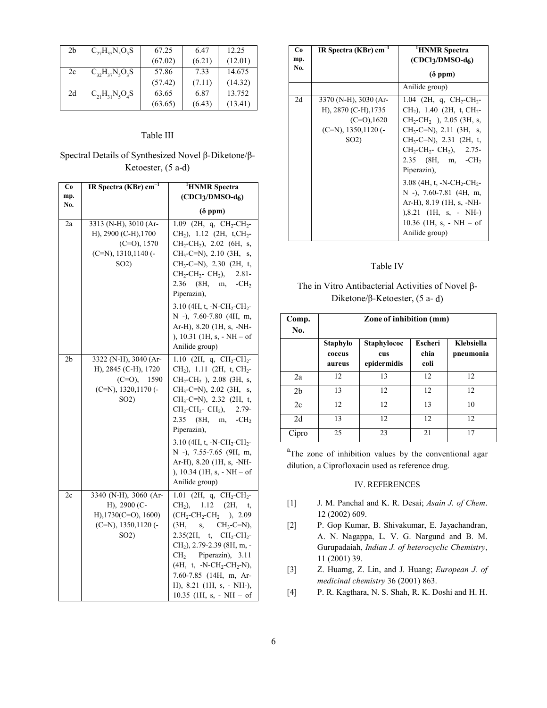| 2 <sub>b</sub> | $C_{27}H_{35}N_5O_3S$ | 67.25   | 6.47   | 12.25   |
|----------------|-----------------------|---------|--------|---------|
|                |                       | (67.02) | (6.21) | (12.01) |
| 2c             | $C_{32}H_{37}N_5O_3S$ | 57.86   | 7.33   | 14.675  |
|                |                       | (57.42) | (7.11) | (14.32) |
| 2d             | $C_{21}H_{31}N_5O_4S$ | 63.65   | 6.87   | 13.752  |
|                |                       | (63.65) | (6.43) | (13.41) |

### Table III

# Spectral Details of Synthesized Novel β-Diketone/β-Ketoester, (5 a-d)

| Co             | IR Spectra ( $\overline{\text{KBr}}$ ) $\overline{\text{cm}^{-1}}$                                                 | <sup>1</sup> HNMR Spectra                                                                                                                                                                                                                                                                                                                                                                                                                       |
|----------------|--------------------------------------------------------------------------------------------------------------------|-------------------------------------------------------------------------------------------------------------------------------------------------------------------------------------------------------------------------------------------------------------------------------------------------------------------------------------------------------------------------------------------------------------------------------------------------|
| mp.<br>No.     |                                                                                                                    | $(CDCl3/DMSO-d6)$                                                                                                                                                                                                                                                                                                                                                                                                                               |
|                |                                                                                                                    | $(\delta$ ppm)                                                                                                                                                                                                                                                                                                                                                                                                                                  |
| 2a             | 3313 (N-H), 3010 (Ar-<br>H), 2900 (C-H), 1700<br>$(C=O)$ , 1570<br>$(C=N), 1310, 1140$ (-<br>$SO2$ )               | 1.09 (2H, q, $CH_2-CH_2$ -<br>CH <sub>2</sub> ), 1.12 (2H, t,CH <sub>2</sub> -<br>$CH_2-CH_2$ ), 2.02 (6H, s,<br>$CH_3-C=N$ , 2.10 (3H, s,<br>$CH_3-C=N$ , 2.30 (2H, t,<br>$CH_2$ -CH <sub>2</sub> - CH <sub>2</sub> ),<br>$2.81 -$<br>2.36 (8H, m,<br>$-CH2$<br>Piperazin),<br>3.10 (4H, t, -N-CH <sub>2</sub> -CH <sub>2</sub> -<br>N -), 7.60-7.80 (4H, m,<br>Ar-H), 8.20 (1H, s, -NH-<br>), 10.31 (1H, s, - NH - of<br>Anilide group)       |
| 2 <sub>b</sub> | 3322 (N-H), 3040 (Ar-<br>H), 2845 (C-H), 1720<br>$(C=O), 1590$<br>$(C=N), 1320, 1170$ (-<br>SO <sub>2</sub> )      | 1.10 (2H, q, CH <sub>2</sub> -CH <sub>2</sub> -<br>$CH2$ ), 1.11 (2H, t, CH <sub>2</sub> -<br>$CH_2-CH_2$ ), 2.08 (3H, s,<br>$CH_3-C=N$ , 2.02 (3H, s,<br>$CH_3-C=N$ , 2.32 (2H, t,<br>$CH_2$ -CH <sub>2</sub> - CH <sub>2</sub> ), 2.79-<br>2.35 (8H, m, $-CH_2$ )<br>Piperazin),<br>3.10 (4H, t, -N-CH <sub>2</sub> -CH <sub>2</sub> -<br>N -), 7.55-7.65 (9H, m,<br>Ar-H), 8.20 (1H, s, -NH-<br>), 10.34 (1H, s, - NH - of<br>Anilide group) |
| 2c             | 3340 (N-H), 3060 (Ar-<br>H), 2900 (C-<br>$H$ ), 1730(C=O), 1600)<br>$(C=N)$ , 1350, 1120 $(-$<br>SO <sub>2</sub> ) | $1.01$ (2H, q, CH <sub>2</sub> -CH <sub>2</sub> -<br>$CH2$ ), 1.12 (2H, t,<br>$(CH_2\text{-}CH_2\text{-}CH_2)$ , 2.09<br>$(3H, s, CH_3-C=N),$<br>$2.35(2H, t, CH_2-CH_2-$<br>$CH2$ ), 2.79-2.39 (8H, m, -<br>$CH2$ Piperazin), 3.11<br>$(4H, t, -N-CH_2-CH_2-N),$<br>7.60-7.85 (14H, m, Ar-<br>H), 8.21 (1H, s, - NH-),<br>$10.35$ (1H, s, - NH - of                                                                                            |

| Co<br>mp.<br>No. | IR Spectra (KBr) $cm^{-1}$                                                                                        | 'HNMR Spectra<br>$(CDCl3/DMSO-d6)$                                                                                                                                                                                                                                                                                                                                                                                                                                                           |  |
|------------------|-------------------------------------------------------------------------------------------------------------------|----------------------------------------------------------------------------------------------------------------------------------------------------------------------------------------------------------------------------------------------------------------------------------------------------------------------------------------------------------------------------------------------------------------------------------------------------------------------------------------------|--|
|                  |                                                                                                                   | $(\delta$ ppm)                                                                                                                                                                                                                                                                                                                                                                                                                                                                               |  |
|                  |                                                                                                                   | Anilide group)                                                                                                                                                                                                                                                                                                                                                                                                                                                                               |  |
| 2d               | $3370$ (N-H), $3030$ (Ar-<br>H), 2870 (C-H), 1735<br>$(C=O)$ , 1620<br>$(C=N)$ , 1350, 1120 (-<br>SO <sub>2</sub> | 1.04 (2H, q, $CH_2$ -CH <sub>2</sub> -<br>$CH2$ ), 1.40 (2H, t, CH <sub>2</sub> -<br>$CH_2$ -CH <sub>2</sub> ), 2.05 (3H, s,<br>$CH_3-C=N$ , 2.11 (3H, s,<br>$CH_3-C=N$ , 2.31 (2H, t,<br>$CH_2$ -CH <sub>2</sub> - CH <sub>2</sub> ), 2.75-<br>$2.35$ (8H, m, -CH <sub>2</sub> )<br>Piperazin),<br>3.08 (4H, t, -N-CH <sub>2</sub> -CH <sub>2</sub> -<br>$N$ -), 7.60-7.81 (4H, m,<br>Ar-H), $8.19$ (1H, s, -NH-<br>$), 8.21$ (1H, s, - NH-)<br>$10.36$ (1H, s, - NH – of<br>Anilide group) |  |

## Table IV

## The in Vitro Antibacterial Activities of Novel β-Diketone/β-Ketoester, (5 a- d)

| Comp.<br>No.   | Zone of inhibition (mm)      |                                   |                                |                         |
|----------------|------------------------------|-----------------------------------|--------------------------------|-------------------------|
|                | Staphylo<br>coccus<br>aureus | Staphylococ<br>cus<br>epidermidis | <b>Escheri</b><br>chia<br>coli | Klebsiella<br>pneumonia |
| 2a             | 12                           | 13                                | 12                             | 12                      |
| 2 <sub>b</sub> | 13                           | 12                                | 12                             | 12                      |
| 2c             | 12                           | 12                                | 13                             | 10                      |
| 2d             | 13                           | 12                                | 12                             | 12                      |
| Cipro          | 25                           | 23                                | 21                             | 17                      |

<sup>a</sup>The zone of inhibition values by the conventional agar dilution, a Ciprofloxacin used as reference drug.

#### IV. REFERENCES

- [1] J. M. Panchal and K. R. Desai; *Asain J. of Chem*. 12 (2002) 609.
- [2] P. Gop Kumar, B. Shivakumar, E. Jayachandran, A. N. Nagappa, L. V. G. Nargund and B. M. Gurupadaiah, *Indian J. of heterocyclic Chemistry*, 11 (2001) 39.
- [3] Z. Huamg, Z. Lin, and J. Huang; *European J. of medicinal chemistry* 36 (2001) 863.
- [4] P. R. Kagthara, N. S. Shah, R. K. Doshi and H. H.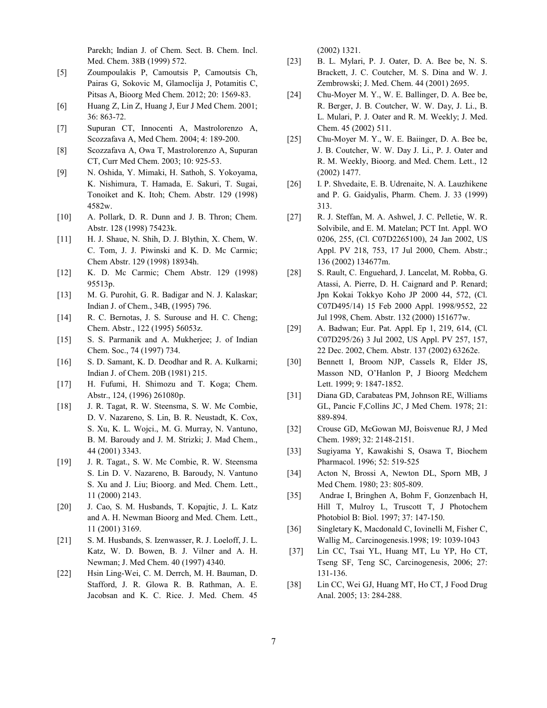Parekh; Indian J. of Chem. Sect. B. Chem. Incl. Med. Chem. 38B (1999) 572.

- [5] Zoumpoulakis P, Camoutsis P, Camoutsis Ch, Pairas G, Sokovic M, Glamoclija J, Potamitis C, Pitsas A, Bioorg Med Chem. 2012; 20: 1569-83.
- [6] Huang Z, Lin Z, Huang J, Eur J Med Chem. 2001; 36: 863-72.
- [7] Supuran CT, Innocenti A, Mastrolorenzo A, Scozzafava A, Med Chem. 2004; 4: 189-200.
- [8] Scozzafava A, Owa T, Mastrolorenzo A, Supuran CT, Curr Med Chem. 2003; 10: 925-53.
- [9] N. Oshida, Y. Mimaki, H. Sathoh, S. Yokoyama, K. Nishimura, T. Hamada, E. Sakuri, T. Sugai, Tonoiket and K. Itoh; Chem. Abstr. 129 (1998) 4582w.
- [10] A. Pollark, D. R. Dunn and J. B. Thron; Chem. Abstr. 128 (1998) 75423k.
- [11] H. J. Shaue, N. Shih, D. J. Blythin, X. Chem, W. C. Tom, J. J. Piwinski and K. D. Mc Carmic; Chem Abstr. 129 (1998) 18934h.
- [12] K. D. Mc Carmic; Chem Abstr. 129 (1998) 95513p.
- [13] M. G. Purohit, G. R. Badigar and N. J. Kalaskar; Indian J. of Chem., 34B, (1995) 796.
- [14] R. C. Bernotas, J. S. Surouse and H. C. Cheng; Chem. Abstr., 122 (1995) 56053z.
- [15] S. S. Parmanik and A. Mukherjee; J. of Indian Chem. Soc., 74 (1997) 734.
- [16] S. D. Samant, K. D. Deodhar and R. A. Kulkarni; Indian J. of Chem. 20B (1981) 215.
- [17] H. Fufumi, H. Shimozu and T. Koga; Chem. Abstr., 124, (1996) 261080p.
- [18] J. R. Tagat, R. W. Steensma, S. W. Mc Combie, D. V. Nazareno, S. Lin, B. R. Neustadt, K. Cox, S. Xu, K. L. Wojci., M. G. Murray, N. Vantuno, B. M. Baroudy and J. M. Strizki; J. Mad Chem., 44 (2001) 3343.
- [19] J. R. Tagat., S. W. Mc Combie, R. W. Steensma S. Lin D. V. Nazareno, B. Baroudy, N. Vantuno S. Xu and J. Liu; Bioorg. and Med. Chem. Lett., 11 (2000) 2143.
- [20] J. Cao, S. M. Husbands, T. Kopajtic, J. L. Katz and A. H. Newman Bioorg and Med. Chem. Lett., 11 (2001) 3169.
- [21] S. M. Husbands, S. Izenwasser, R. J. Loeloff, J. L. Katz, W. D. Bowen, B. J. Vilner and A. H. Newman; J. Med Chem. 40 (1997) 4340.
- [22] Hsin Ling-Wei, C. M. Derrch, M. H. Bauman, D. Stafford, J. R. Glowa R. B. Rathman, A. E. Jacobsan and K. C. Rice. J. Med. Chem. 45

(2002) 1321.

- [23] B. L. Mylari, P. J. Oater, D. A. Bee be, N. S. Brackett, J. C. Coutcher, M. S. Dina and W. J. Zembrowski; J. Med. Chem. 44 (2001) 2695.
- [24] Chu-Moyer M. Y., W. E. Ballinger, D. A. Bee be, R. Berger, J. B. Coutcher, W. W. Day, J. Li., B. L. Mulari, P. J. Oater and R. M. Weekly; J. Med. Chem. 45 (2002) 511.
- [25] Chu-Moyer M. Y., W. E. Baiinger, D. A. Bee be, J. B. Coutcher, W. W. Day J. Li., P. J. Oater and R. M. Weekly, Bioorg. and Med. Chem. Lett., 12 (2002) 1477.
- [26] I. P. Shvedaite, E. B. Udrenaite, N. A. Lauzhikene and P. G. Gaidyalis, Pharm. Chem. J. 33 (1999) 313.
- [27] R. J. Steffan, M. A. Ashwel, J. C. Pelletie, W. R. Solvibile, and E. M. Matelan; PCT Int. Appl. WO 0206, 255, (Cl. C07D2265100), 24 Jan 2002, US Appl. PV 218, 753, 17 Jul 2000, Chem. Abstr.; 136 (2002) 134677m.
- [28] S. Rault, C. Enguehard, J. Lancelat, M. Robba, G. Atassi, A. Pierre, D. H. Caignard and P. Renard; Jpn Kokai Tokkyo Koho JP 2000 44, 572, (Cl. C07D495/14) 15 Feb 2000 Appl. 1998/9552, 22 Jul 1998, Chem. Abstr. 132 (2000) 151677w.
- [29] A. Badwan; Eur. Pat. Appl. Ep 1, 219, 614, (Cl. C07D295/26) 3 Jul 2002, US Appl. PV 257, 157, 22 Dec. 2002, Chem. Abstr. 137 (2002) 63262e.
- [30] Bennett I, Broom NJP, Cassels R, Elder JS, Masson ND, O'Hanlon P, J Bioorg Medchem Lett. 1999; 9: 1847-1852.
- [31] Diana GD, Carabateas PM, Johnson RE, Williams GL, Pancic F,Collins JC, J Med Chem. 1978; 21: 889-894.
- [32] Crouse GD, McGowan MJ, Boisvenue RJ, J Med Chem. 1989; 32: 2148-2151.
- [33] Sugiyama Y, Kawakishi S, Osawa T, Biochem Pharmacol. 1996; 52: 519-525
- [34] Acton N, Brossi A, Newton DL, Sporn MB, J Med Chem. 1980; 23: 805-809.
- [35] Andrae I, Bringhen A, Bohm F, Gonzenbach H, Hill T, Mulroy L, Truscott T, J Photochem Photobiol B: Biol. 1997; 37: 147-150.
- [36] Singletary K, Macdonald C, Iovinelli M, Fisher C, Wallig M,. Carcinogenesis.1998; 19: 1039-1043
- [37] Lin CC, Tsai YL, Huang MT, Lu YP, Ho CT, Tseng SF, Teng SC, Carcinogenesis, 2006; 27: 131-136.
- [38] Lin CC, Wei GJ, Huang MT, Ho CT, J Food Drug Anal. 2005; 13: 284-288.